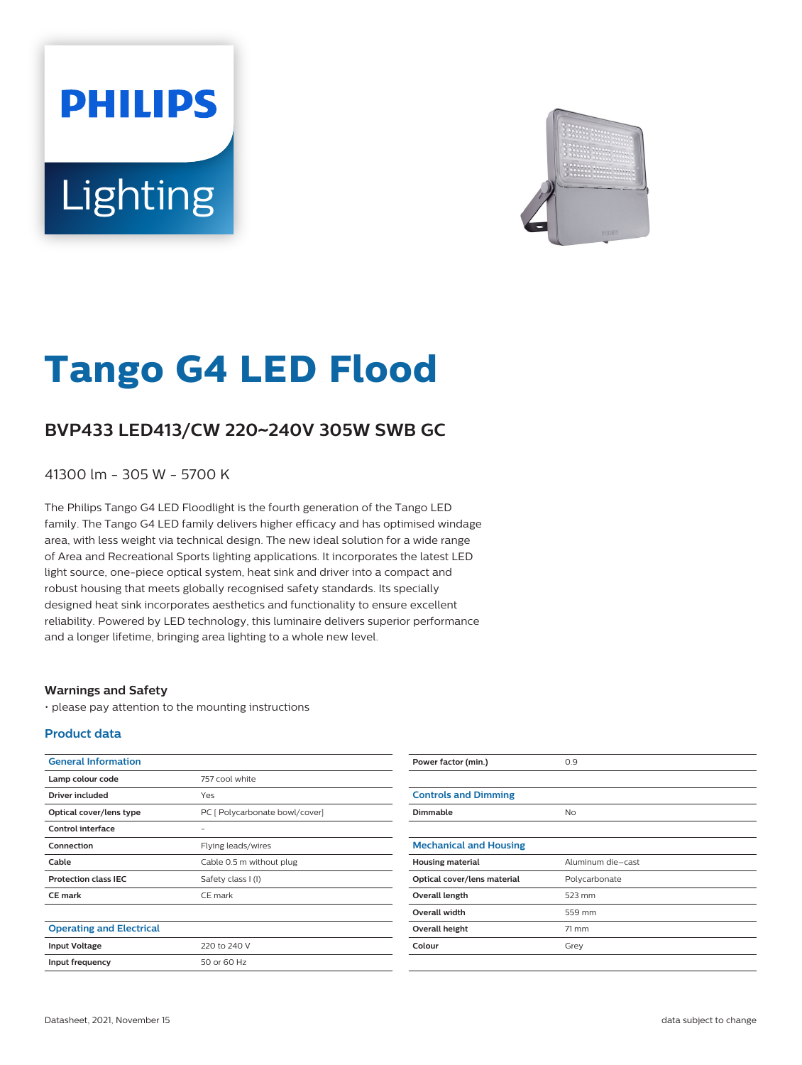# **PHILIPS** Lighting



# **Tango G4 LED Flood**

## **BVP433 LED413/CW 220**~**240V 305W SWB GC**

41300 lm - 305 W - 5700 K

The Philips Tango G4 LED Floodlight is the fourth generation of the Tango LED family. The Tango G4 LED family delivers higher efficacy and has optimised windage area, with less weight via technical design. The new ideal solution for a wide range of Area and Recreational Sports lighting applications. It incorporates the latest LED light source, one-piece optical system, heat sink and driver into a compact and robust housing that meets globally recognised safety standards. Its specially designed heat sink incorporates aesthetics and functionality to ensure excellent reliability. Powered by LED technology, this luminaire delivers superior performance and a longer lifetime, bringing area lighting to a whole new level.

#### **Warnings and Safety**

• please pay attention to the mounting instructions

#### **Product data**

| <b>General Information</b>      |                                | Power factor (min.)           | 0.9               |
|---------------------------------|--------------------------------|-------------------------------|-------------------|
| Lamp colour code                | 757 cool white                 |                               |                   |
| <b>Driver included</b>          | Yes                            | <b>Controls and Dimming</b>   |                   |
| Optical cover/lens type         | PC [ Polycarbonate bowl/cover] | Dimmable                      | <b>No</b>         |
| Control interface               | -                              |                               |                   |
| Connection                      | Flying leads/wires             | <b>Mechanical and Housing</b> |                   |
| Cable                           | Cable 0.5 m without plug       | <b>Housing material</b>       | Aluminum die-cast |
| <b>Protection class IEC</b>     | Safety class I (I)             | Optical cover/lens material   | Polycarbonate     |
| <b>CE mark</b>                  | CE mark                        | Overall length                | 523 mm            |
|                                 |                                | Overall width                 | 559 mm            |
| <b>Operating and Electrical</b> |                                | Overall height                | $71 \text{ mm}$   |
| <b>Input Voltage</b>            | 220 to 240 V                   | Colour                        | Grey              |
| Input frequency                 | 50 or 60 Hz                    |                               |                   |
|                                 |                                |                               |                   |